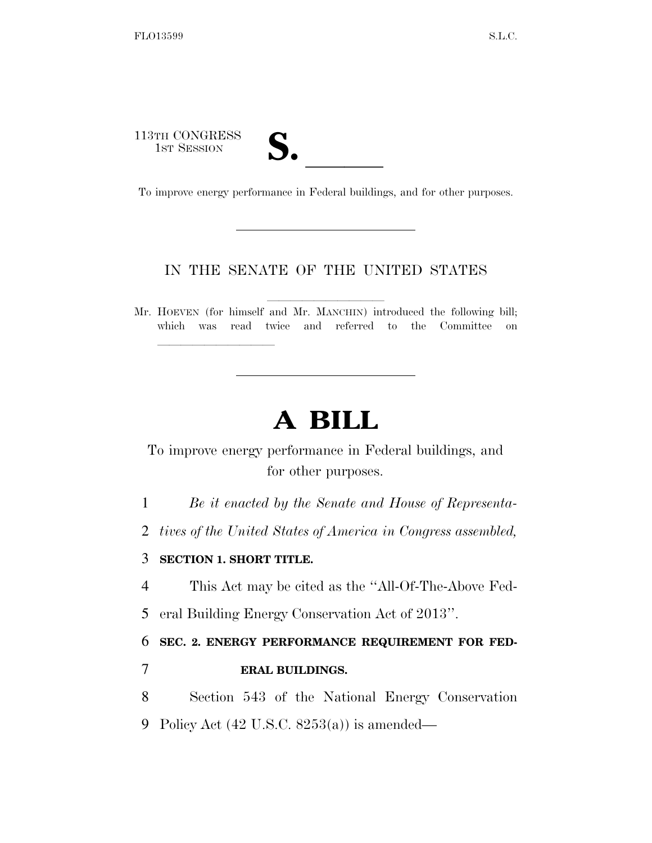113TH CONGRESS 13TH CONGRESS<br>
1ST SESSION<br>
To improve energy performance in Federal buildings, and for other purposes.

lla se al constituir a la constituir a la constituir a la constituir a la constituir a la constituir a la cons<br>La constituir a la constituir a la constituir a la constituir a la constituir a la constituir a la constituir

## IN THE SENATE OF THE UNITED STATES

Mr. HOEVEN (for himself and Mr. MANCHIN) introduced the following bill; which was read twice and referred to the Committee on

## **A BILL**

To improve energy performance in Federal buildings, and for other purposes.

1 *Be it enacted by the Senate and House of Representa-*

2 *tives of the United States of America in Congress assembled,* 

## 3 **SECTION 1. SHORT TITLE.**

4 This Act may be cited as the ''All-Of-The-Above Fed-

5 eral Building Energy Conservation Act of 2013''.

6 **SEC. 2. ENERGY PERFORMANCE REQUIREMENT FOR FED-**

## 7 **ERAL BUILDINGS.**

8 Section 543 of the National Energy Conservation

9 Policy Act (42 U.S.C. 8253(a)) is amended—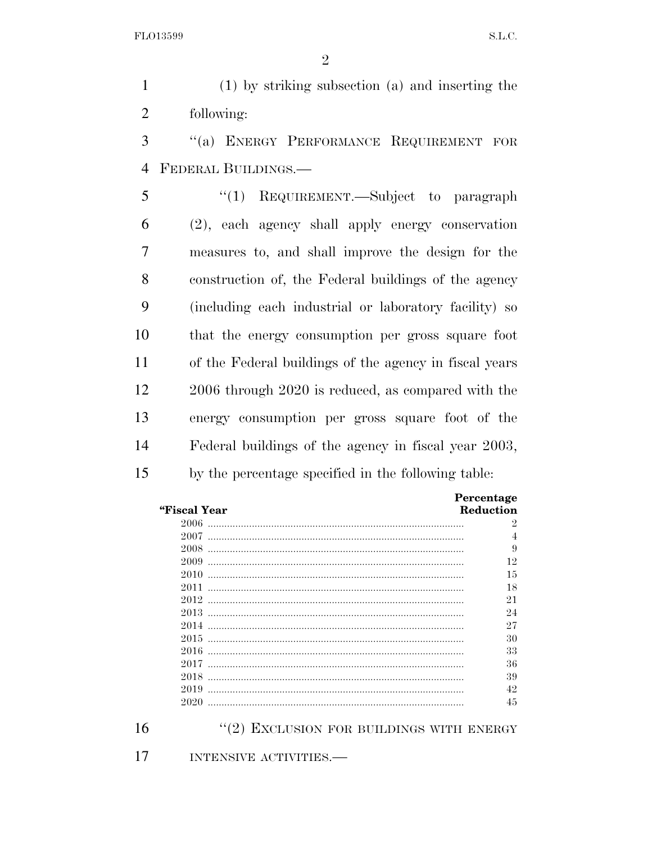1 (1) by striking subsection (a) and inserting the 2 following:

3 ''(a) ENERGY PERFORMANCE REQUIREMENT FOR 4 FEDERAL BUILDINGS.—

 ''(1) REQUIREMENT.—Subject to paragraph (2), each agency shall apply energy conservation measures to, and shall improve the design for the construction of, the Federal buildings of the agency (including each industrial or laboratory facility) so that the energy consumption per gross square foot of the Federal buildings of the agency in fiscal years 2006 through 2020 is reduced, as compared with the energy consumption per gross square foot of the Federal buildings of the agency in fiscal year 2003, by the percentage specified in the following table:

|              | Percentage |
|--------------|------------|
| "Fiscal Year | Reduction  |
| 2006         | 2          |
| 2007         | 4          |
| 2008         | 9          |
| 2009         | 12         |
| 2010         | 15         |
| 2011         | 18         |
| 2012         | 21         |
| 2013         | 24         |
| 2014         | 27         |
| 2015         | 30         |
| 2016         | 33         |
| 2017         | 36         |
| 2018         | 39         |
| 2019         | 42         |
| 2020         | 45         |

16 "(2) EXCLUSION FOR BUILDINGS WITH ENERGY

17 INTENSIVE ACTIVITIES.—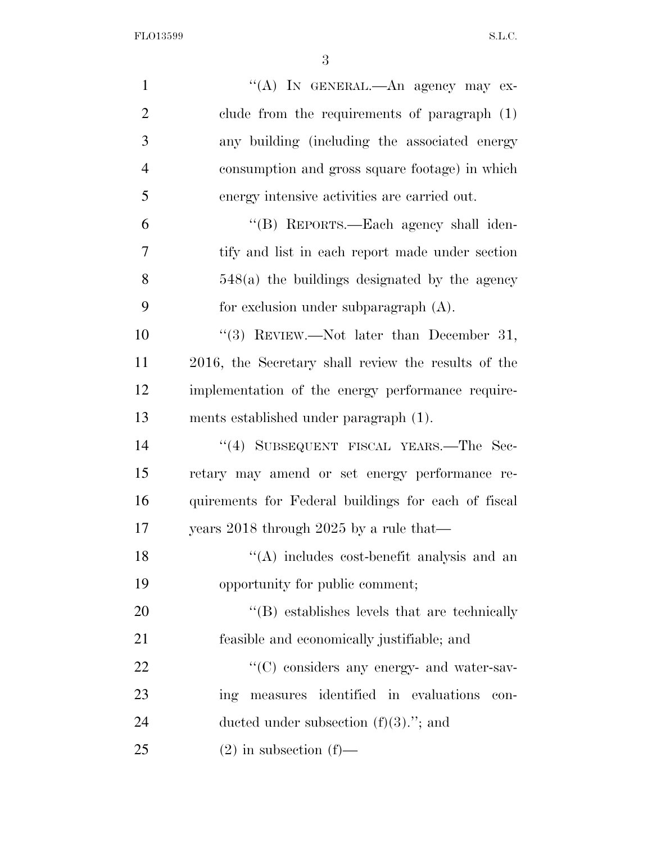FLO13599 S.L.C.

| $\mathbf{1}$   | "(A) IN GENERAL.—An agency may ex-                  |
|----------------|-----------------------------------------------------|
| $\overline{2}$ | clude from the requirements of paragraph $(1)$      |
| 3              | any building (including the associated energy       |
| $\overline{4}$ | consumption and gross square footage) in which      |
| 5              | energy intensive activities are carried out.        |
| 6              | "(B) REPORTS.—Each agency shall iden-               |
| 7              | tify and list in each report made under section     |
| 8              | $548(a)$ the buildings designated by the agency     |
| 9              | for exclusion under subparagraph $(A)$ .            |
| 10             | "(3) REVIEW.—Not later than December 31,            |
| 11             | 2016, the Secretary shall review the results of the |
| 12             | implementation of the energy performance require-   |
| 13             | ments established under paragraph (1).              |
| 14             | "(4) SUBSEQUENT FISCAL YEARS.—The Sec-              |
| 15             | retary may amend or set energy performance re-      |
| 16             | quirements for Federal buildings for each of fiscal |
| 17             | years 2018 through 2025 by a rule that—             |
| 18             | $\lq\lq$ includes cost-benefit analysis and an      |
| 19             | opportunity for public comment;                     |
| 20             | "(B) establishes levels that are technically        |
| 21             | feasible and economically justifiable; and          |
| 22             | "(C) considers any energy- and water-sav-           |
| 23             | measures identified in evaluations<br>ing<br>con-   |
| 24             | ducted under subsection $(f)(3)$ ."; and            |
| 25             | $(2)$ in subsection $(f)$ —                         |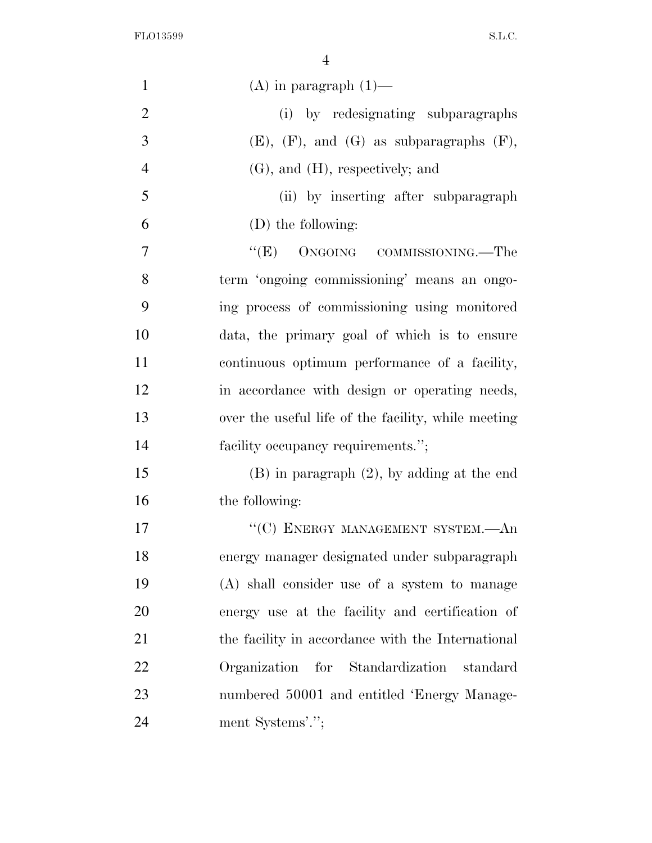FLO13599 S.L.C.

| $\mathbf{1}$   | $(A)$ in paragraph $(1)$ —                          |
|----------------|-----------------------------------------------------|
| $\mathfrak{2}$ | (i) by redesignating subparagraphs                  |
| 3              | $(E)$ , $(F)$ , and $(G)$ as subparagraphs $(F)$ ,  |
| $\overline{4}$ | $(G)$ , and $(H)$ , respectively; and               |
| 5              | (ii) by inserting after subparagraph                |
| 6              | (D) the following:                                  |
| 7              | "(E) ONGOING COMMISSIONING.—The                     |
| 8              | term 'ongoing commissioning' means an ongo-         |
| 9              | ing process of commissioning using monitored        |
| 10             | data, the primary goal of which is to ensure        |
| 11             | continuous optimum performance of a facility,       |
| 12             | in accordance with design or operating needs,       |
| 13             | over the useful life of the facility, while meeting |
| 14             | facility occupancy requirements.";                  |
| 15             | $(B)$ in paragraph $(2)$ , by adding at the end     |
| 16             | the following:                                      |
| 17             | "(C) ENERGY MANAGEMENT SYSTEM.-An                   |
| 18             | energy manager designated under subparagraph        |
| 19             | (A) shall consider use of a system to manage        |
| 20             | energy use at the facility and certification of     |
| 21             | the facility in accordance with the International   |
| 22             | Organization for Standardization<br>standard        |
| 23             | numbered 50001 and entitled 'Energy Manage-         |
| 24             | ment Systems'.";                                    |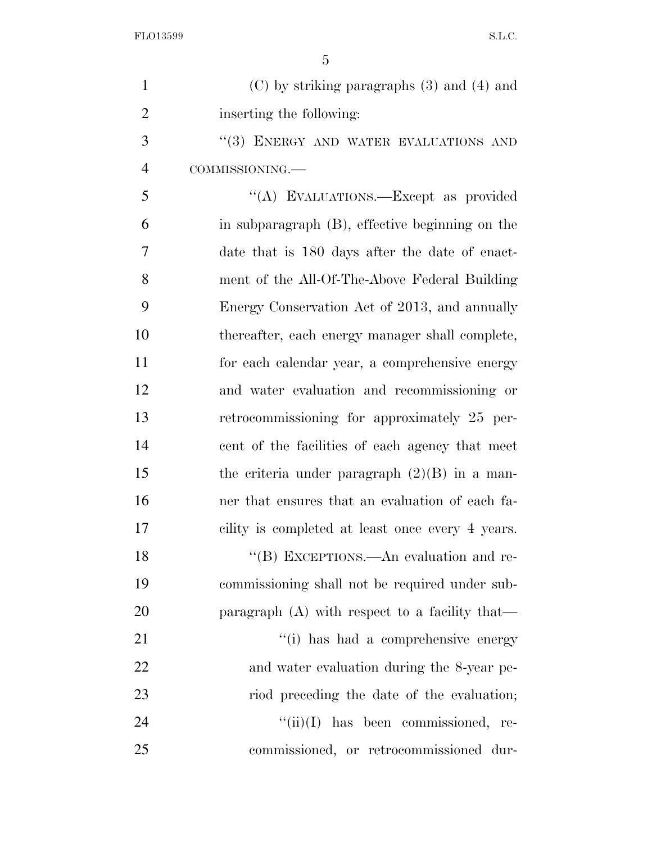| $\mathbf{1}$   | $(C)$ by striking paragraphs $(3)$ and $(4)$ and |
|----------------|--------------------------------------------------|
| $\overline{2}$ | inserting the following:                         |
| 3              | "(3) ENERGY AND WATER EVALUATIONS AND            |
| $\overline{4}$ | COMMISSIONING.                                   |
| 5              | "(A) EVALUATIONS.—Except as provided             |
| 6              | in subparagraph (B), effective beginning on the  |
| 7              | date that is 180 days after the date of enact-   |
| 8              | ment of the All-Of-The-Above Federal Building    |
| 9              | Energy Conservation Act of 2013, and annually    |
| 10             | thereafter, each energy manager shall complete,  |
| 11             | for each calendar year, a comprehensive energy   |
| 12             | and water evaluation and recommissioning or      |
| 13             | retrocommissioning for approximately 25 per-     |
| 14             | cent of the facilities of each agency that meet  |
| 15             | the criteria under paragraph $(2)(B)$ in a man-  |
| 16             | ner that ensures that an evaluation of each fa-  |
| 17             | cility is completed at least once every 4 years. |
| 18             | "(B) EXCEPTIONS.—An evaluation and re-           |
| 19             | commissioning shall not be required under sub-   |
| 20             | paragraph $(A)$ with respect to a facility that— |
| 21             | "(i) has had a comprehensive energy              |
| 22             | and water evaluation during the 8-year pe-       |
| 23             | riod preceding the date of the evaluation;       |
| 24             | $``(ii)(I)$ has been commissioned, re-           |
| 25             | commissioned, or retrocommissioned dur-          |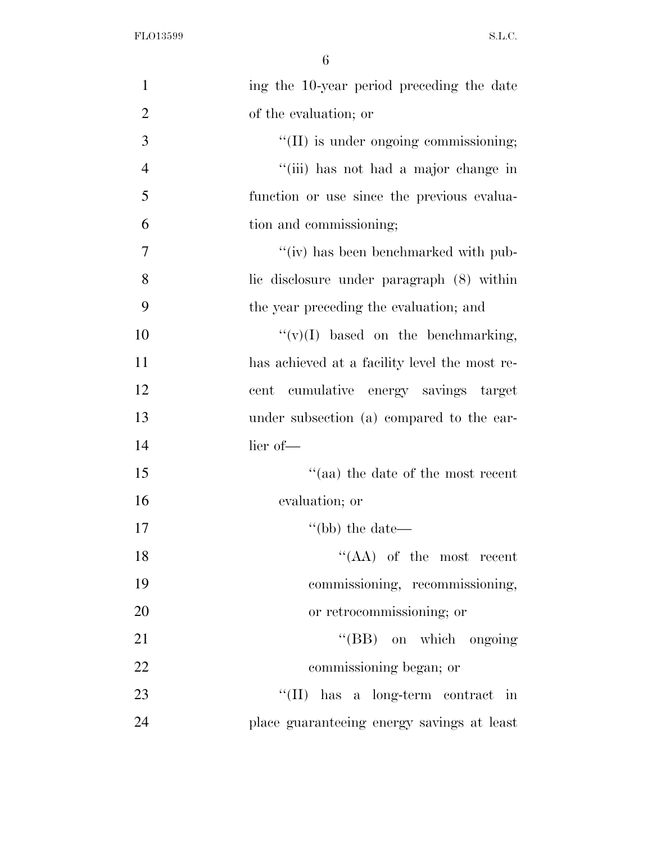| $\mathbf{1}$   | ing the 10-year period preceding the date     |
|----------------|-----------------------------------------------|
| $\overline{2}$ | of the evaluation; or                         |
| 3              | "(II) is under ongoing commissioning;         |
| $\overline{4}$ | "(iii) has not had a major change in          |
| 5              | function or use since the previous evalua-    |
| 6              | tion and commissioning;                       |
| $\overline{7}$ | "(iv) has been benchmarked with pub-          |
| 8              | lic disclosure under paragraph (8) within     |
| 9              | the year preceding the evaluation; and        |
| 10             | $``(v)(I)$ based on the benchmarking,         |
| 11             | has achieved at a facility level the most re- |
| 12             | cumulative energy savings target<br>cent      |
| 13             | under subsection (a) compared to the ear-     |
| 14             | lier of-                                      |
| 15             | $\cdot$ (aa) the date of the most recent      |
| 16             | evaluation; or                                |
| 17             | $\degree$ (bb) the date—                      |
| 18             | $\lq\lq$ (AA) of the most recent              |
| 19             | commissioning, recommissioning,               |
| 20             | or retrocommissioning; or                     |
| 21             | "(BB) on which ongoing                        |
| 22             | commissioning began; or                       |
| 23             | $\lq\lq$ (II) has a long-term contract in     |
| 24             | place guaranteeing energy savings at least    |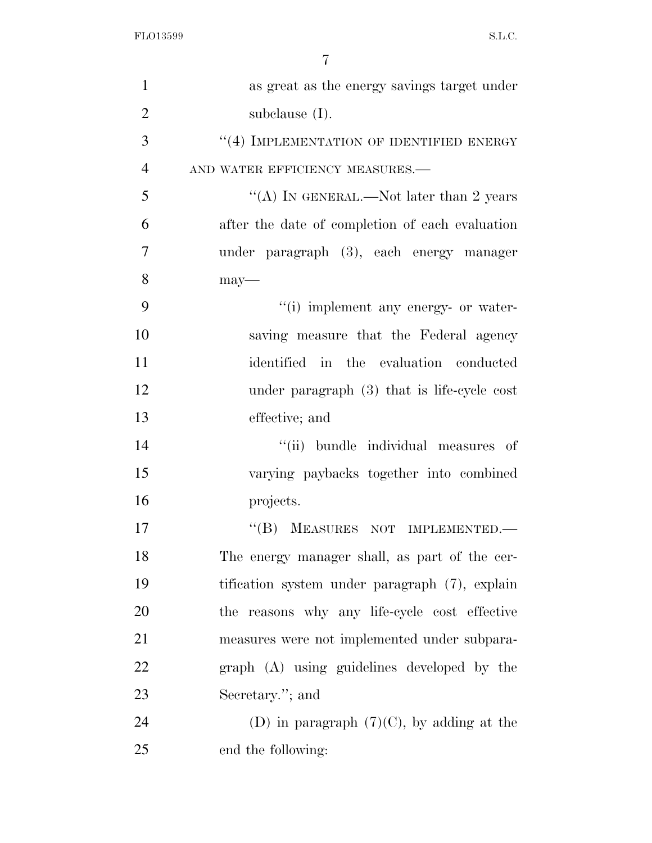| $\mathbf{1}$   | as great as the energy savings target under      |
|----------------|--------------------------------------------------|
| $\overline{2}$ | subclause $(I)$ .                                |
| 3              | $\lq\lq (4)$ IMPLEMENTATION OF IDENTIFIED ENERGY |
| $\overline{4}$ | AND WATER EFFICIENCY MEASURES.-                  |
| 5              | "(A) IN GENERAL.—Not later than 2 years          |
| 6              | after the date of completion of each evaluation  |
| 7              | under paragraph (3), each energy manager         |
| 8              | $may-$                                           |
| 9              | "(i) implement any energy- or water-             |
| 10             | saving measure that the Federal agency           |
| 11             | identified in the evaluation conducted           |
| 12             | under paragraph $(3)$ that is life-cycle cost    |
| 13             | effective; and                                   |
| 14             | "(ii) bundle individual measures of              |
| 15             | varying paybacks together into combined          |
| 16             | projects.                                        |
| 17             | "(B) MEASURES NOT IMPLEMENTED.                   |
| 18             | The energy manager shall, as part of the cer-    |
| 19             | tification system under paragraph (7), explain   |
| 20             | the reasons why any life-cycle cost effective    |
| 21             | measures were not implemented under subpara-     |
| 22             | graph (A) using guidelines developed by the      |
| 23             | Secretary."; and                                 |
| 24             | (D) in paragraph $(7)(C)$ , by adding at the     |
| 25             | end the following:                               |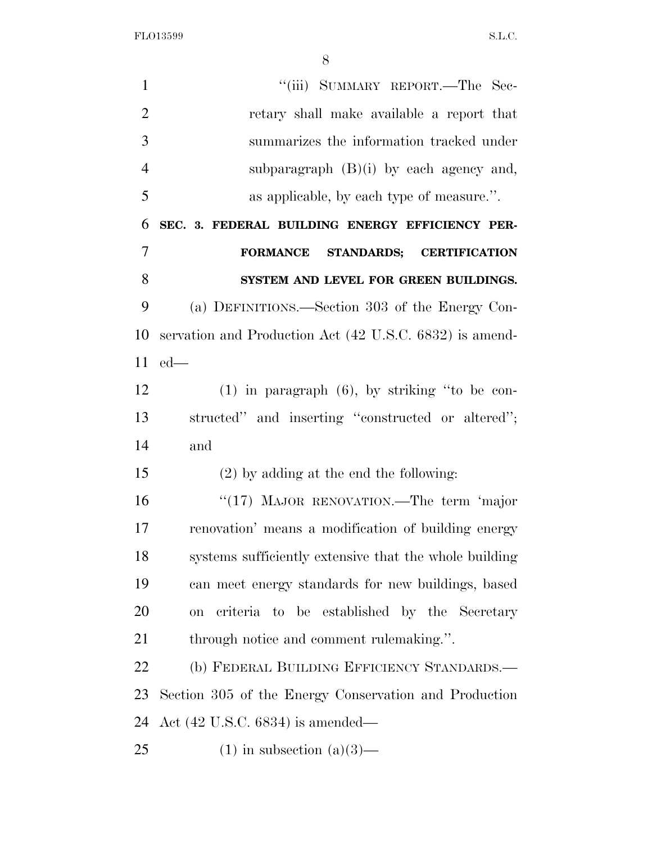FLO13599 S.L.C.

1 ''(iii) SUMMARY REPORT.—The Sec- retary shall make available a report that summarizes the information tracked under subparagraph (B)(i) by each agency and, as applicable, by each type of measure.''. **SEC. 3. FEDERAL BUILDING ENERGY EFFICIENCY PER- FORMANCE STANDARDS; CERTIFICATION SYSTEM AND LEVEL FOR GREEN BUILDINGS.**  (a) DEFINITIONS.—Section 303 of the Energy Con- servation and Production Act (42 U.S.C. 6832) is amend- ed— (1) in paragraph (6), by striking ''to be con- structed'' and inserting ''constructed or altered''; and (2) by adding at the end the following: ''(17) MAJOR RENOVATION.—The term 'major renovation' means a modification of building energy systems sufficiently extensive that the whole building can meet energy standards for new buildings, based on criteria to be established by the Secretary through notice and comment rulemaking.''. 22 (b) FEDERAL BUILDING EFFICIENCY STANDARDS.— Section 305 of the Energy Conservation and Production Act (42 U.S.C. 6834) is amended— 25 (1) in subsection  $(a)(3)$ —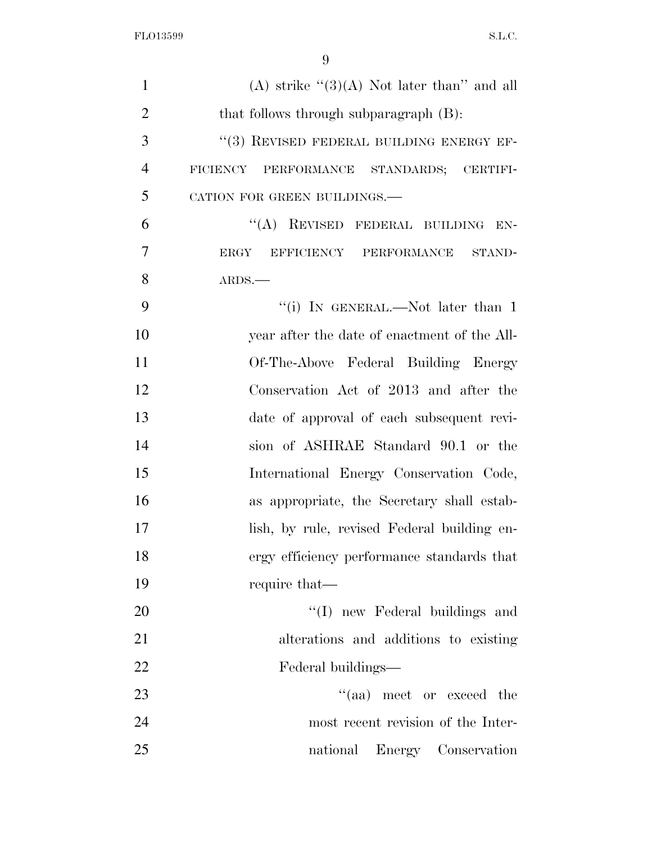| $\mathbf{1}$   | (A) strike " $(3)(A)$ Not later than" and all |
|----------------|-----------------------------------------------|
| $\overline{2}$ | that follows through subparagraph (B):        |
| 3              | "(3) REVISED FEDERAL BUILDING ENERGY EF-      |
| $\overline{4}$ | FICIENCY PERFORMANCE STANDARDS; CERTIFI-      |
| 5              | CATION FOR GREEN BUILDINGS.-                  |
| 6              | "(A) REVISED FEDERAL BUILDING EN-             |
| 7              | ERGY<br>EFFICIENCY PERFORMANCE STAND-         |
| 8              | ARDS.                                         |
| 9              | "(i) IN GENERAL.—Not later than 1             |
| 10             | year after the date of enactment of the All-  |
| 11             | Of-The-Above Federal Building Energy          |
| 12             | Conservation Act of 2013 and after the        |
| 13             | date of approval of each subsequent revi-     |
| 14             | sion of ASHRAE Standard 90.1 or the           |
| 15             | International Energy Conservation Code,       |
| 16             | as appropriate, the Secretary shall estab-    |
| 17             | lish, by rule, revised Federal building en-   |
| 18             | ergy efficiency performance standards that    |
| 19             | require that—                                 |
| 20             | "(I) new Federal buildings and                |
| 21             | alterations and additions to existing         |
| 22             | Federal buildings—                            |
| 23             | "(aa) meet or exceed the                      |
| 24             | most recent revision of the Inter-            |
| 25             | national Energy Conservation                  |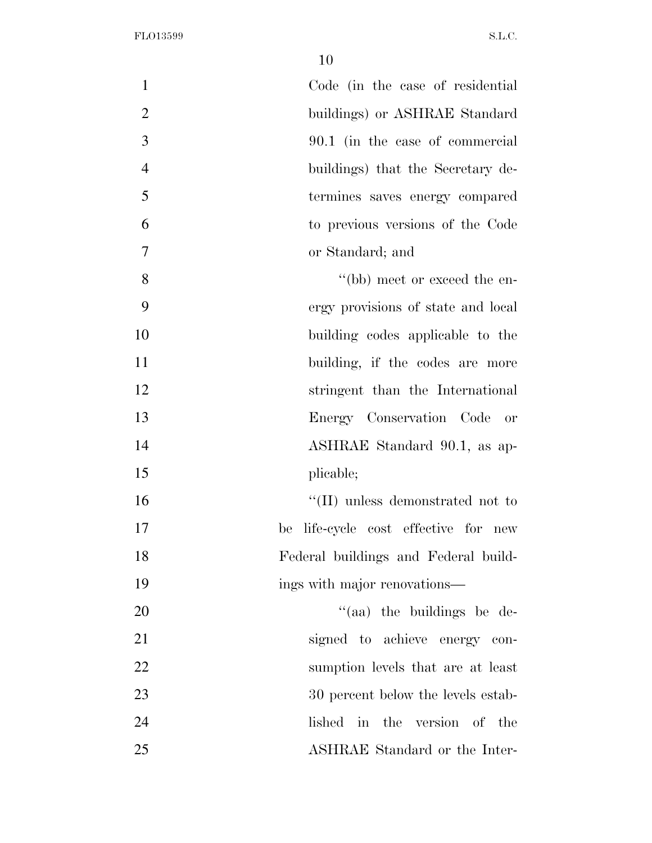| $\mathbf{1}$<br>Code (in the case of residential    |  |
|-----------------------------------------------------|--|
| $\overline{2}$<br>buildings) or ASHRAE Standard     |  |
| 3<br>90.1 (in the case of commercial                |  |
| $\overline{4}$<br>buildings) that the Secretary de- |  |
| 5<br>termines saves energy compared                 |  |
| 6<br>to previous versions of the Code               |  |
| 7<br>or Standard; and                               |  |
| 8<br>"(bb) meet or exceed the en-                   |  |
| 9<br>ergy provisions of state and local             |  |
| 10<br>building codes applicable to the              |  |
| 11<br>building, if the codes are more               |  |
| 12<br>stringent than the International              |  |
| 13<br>Energy Conservation Code or                   |  |
| 14<br>ASHRAE Standard 90.1, as ap-                  |  |
| 15<br>plicable;                                     |  |
| 16<br>$\lq\lq$ (II) unless demonstrated not to      |  |
| 17<br>life-cycle cost effective for new<br>be       |  |
| Federal buildings and Federal build-<br>18          |  |
| 19<br>ings with major renovations—                  |  |
| 20<br>"(aa) the buildings be de-                    |  |
| 21<br>signed to achieve energy con-                 |  |
| 22<br>sumption levels that are at least             |  |
| 23<br>30 percent below the levels estab-            |  |
| 24<br>lished in the version of the                  |  |
| 25<br>ASHRAE Standard or the Inter-                 |  |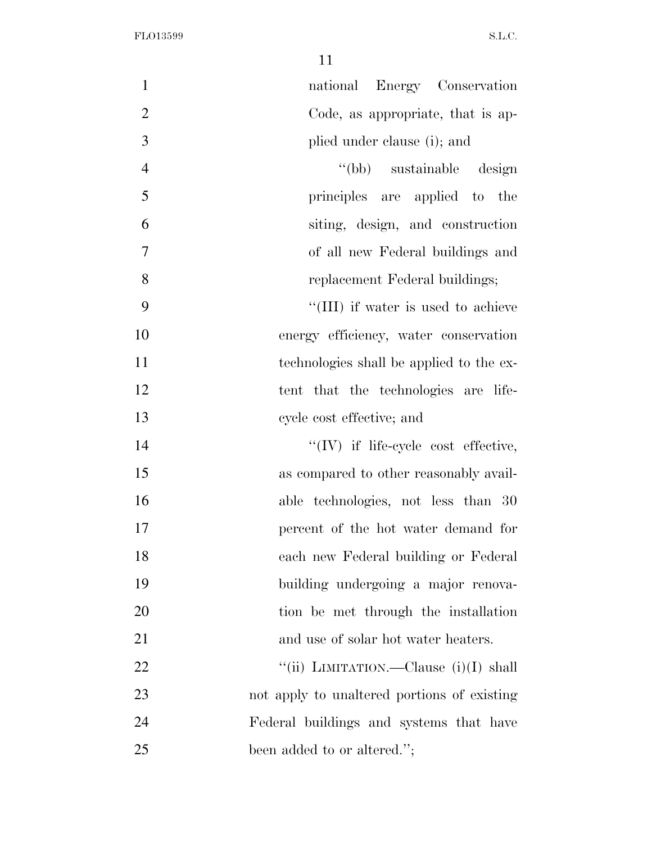| $\mathbf{1}$   | national Energy Conservation                |
|----------------|---------------------------------------------|
| $\overline{2}$ | Code, as appropriate, that is ap-           |
| 3              | plied under clause (i); and                 |
| $\overline{4}$ | "(bb) sustainable design                    |
| 5              | principles are applied to<br>the            |
| 6              | siting, design, and construction            |
| 7              | of all new Federal buildings and            |
| 8              | replacement Federal buildings;              |
| 9              | "(III) if water is used to achieve          |
| 10             | energy efficiency, water conservation       |
| 11             | technologies shall be applied to the ex-    |
| 12             | tent that the technologies are life-        |
| 13             | cycle cost effective; and                   |
| 14             | $``(IV)$ if life-cycle cost effective,      |
| 15             | as compared to other reasonably avail-      |
| 16             | able technologies, not less than 30         |
| 17             | percent of the hot water demand for         |
| 18             | each new Federal building or Federal        |
| 19             | building undergoing a major renova-         |
| 20             | tion be met through the installation        |
| 21             | and use of solar hot water heaters.         |
| <u>22</u>      | "(ii) LIMITATION.—Clause (i)(I) shall       |
| 23             | not apply to unaltered portions of existing |
| 24             | Federal buildings and systems that have     |
| 25             | been added to or altered.";                 |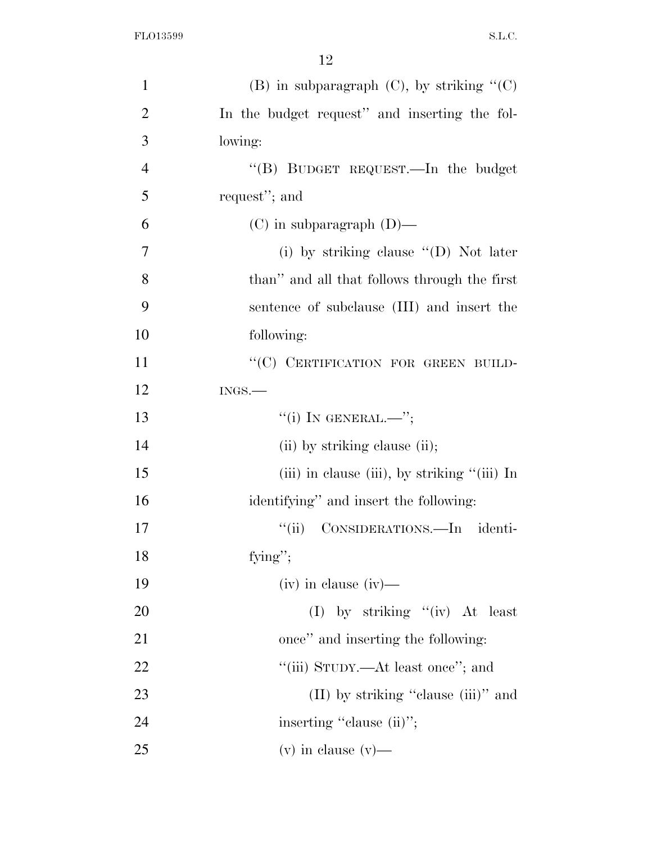| $\mathbf{1}$   | (B) in subparagraph $(C)$ , by striking " $(C)$   |
|----------------|---------------------------------------------------|
| $\overline{2}$ | In the budget request" and inserting the fol-     |
| 3              | lowing:                                           |
| $\overline{4}$ | "(B) BUDGET REQUEST.—In the budget                |
| 5              | request"; and                                     |
| 6              | $(C)$ in subparagraph $(D)$ —                     |
| 7              | (i) by striking clause $\lq\lq$ O) Not later      |
| 8              | than" and all that follows through the first      |
| 9              | sentence of subclause (III) and insert the        |
| 10             | following:                                        |
| 11             | "(C) CERTIFICATION FOR GREEN BUILD-               |
| 12             | $INGS$ .                                          |
| 13             | $``(i)$ IN GENERAL.—";                            |
| 14             | (ii) by striking clause (ii);                     |
| 15             | (iii) in clause (iii), by striking $\lq$ (iii) In |
| 16             | identifying" and insert the following:            |
| 17             | CONSIDERATIONS.-In identi-<br>``(ii)              |
| 18             | fying";                                           |
| 19             | $(iv)$ in clause $(iv)$ —                         |
| 20             | (I) by striking $\lq\lq$ (iv) At least            |
| 21             | once" and inserting the following:                |
| 22             | "(iii) STUDY.—At least once"; and                 |
| 23             | $(II)$ by striking "clause $(iii)$ " and          |
| 24             | inserting "clause (ii)";                          |
| 25             | $(v)$ in clause $(v)$ —                           |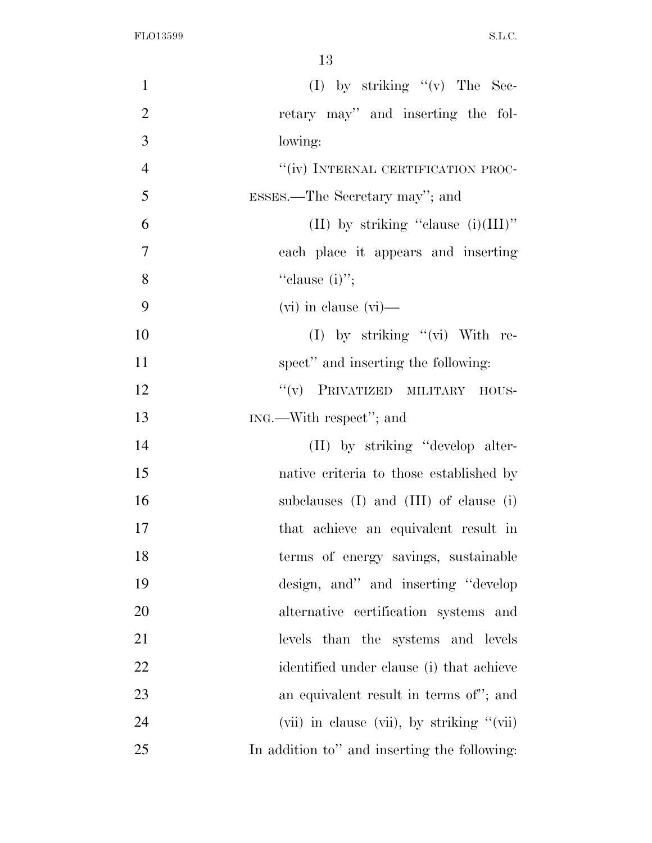| $\mathbf{1}$   |                                              |
|----------------|----------------------------------------------|
| $\overline{2}$ | retary may" and inserting the fol-           |
| 3              | lowing:                                      |
| $\overline{4}$ | "(iv) INTERNAL CERTIFICATION PROC-           |
| 5              | ESSES.—The Secretary may"; and               |
| 6              | (II) by striking "clause $(i)(III)$ "        |
| $\overline{7}$ | each place it appears and inserting          |
| 8              | "clause $(i)$ ";                             |
| 9              | $(vi)$ in clause $(vi)$ —                    |
| 10             | (I) by striking $"$ (vi) With re-            |
| 11             | spect" and inserting the following:          |
| 12             | "(v) PRIVATIZED MILITARY HOUS-               |
| 13             | ING.—With respect"; and                      |
| 14             | (II) by striking "develop alter-             |
| 15             | native criteria to those established by      |
| 16             | subclauses $(I)$ and $(III)$ of clause $(i)$ |
| 17             | that achieve an equivalent result in         |
| 18             | terms of energy savings, sustainable         |
| 19             | design, and" and inserting "develop"         |
| 20             | alternative certification systems and        |
| 21             | levels than the systems and levels           |
| 22             | identified under clause (i) that achieve     |
| 23             | an equivalent result in terms of"; and       |
| 24             | (vii) in clause (vii), by striking "(vii)    |
| 25             | In addition to" and inserting the following: |